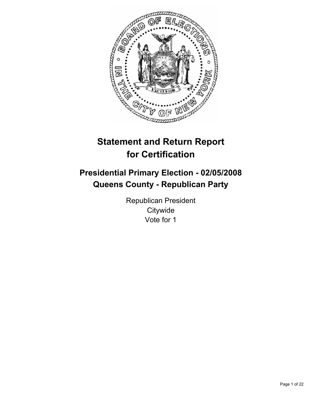

# **Statement and Return Report for Certification**

# **Presidential Primary Election - 02/05/2008 Queens County - Republican Party**

Republican President **Citywide** Vote for 1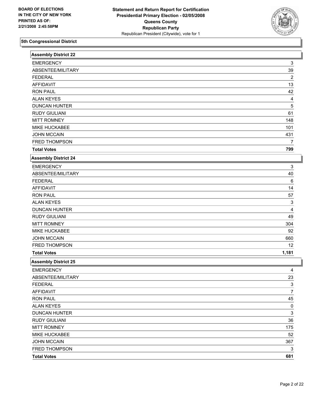

| <b>Assembly District 22</b> |                           |
|-----------------------------|---------------------------|
| <b>EMERGENCY</b>            | 3                         |
| ABSENTEE/MILITARY           | 39                        |
| <b>FEDERAL</b>              | $\boldsymbol{2}$          |
| <b>AFFIDAVIT</b>            | 13                        |
| <b>RON PAUL</b>             | 42                        |
| <b>ALAN KEYES</b>           | 4                         |
| <b>DUNCAN HUNTER</b>        | 5                         |
| <b>RUDY GIULIANI</b>        | 61                        |
| <b>MITT ROMNEY</b>          | 148                       |
| MIKE HUCKABEE               | 101                       |
| <b>JOHN MCCAIN</b>          | 431                       |
| FRED THOMPSON               | 7                         |
| <b>Total Votes</b>          | 799                       |
| <b>Assembly District 24</b> |                           |
| <b>EMERGENCY</b>            | 3                         |
| ABSENTEE/MILITARY           | 40                        |
| <b>FEDERAL</b>              | 6                         |
| <b>AFFIDAVIT</b>            | 14                        |
| <b>RON PAUL</b>             | 57                        |
| <b>ALAN KEYES</b>           | 3                         |
| <b>DUNCAN HUNTER</b>        | $\overline{\mathbf{4}}$   |
| <b>RUDY GIULIANI</b>        | 49                        |
| <b>MITT ROMNEY</b>          | 304                       |
| MIKE HUCKABEE               | 92                        |
| <b>JOHN MCCAIN</b>          | 660                       |
| FRED THOMPSON               | 12                        |
| <b>Total Votes</b>          | 1,181                     |
| <b>Assembly District 25</b> |                           |
| <b>EMERGENCY</b>            | 4                         |
| ABSENTEE/MILITARY           | 23                        |
| <b>FEDERAL</b>              | $\overline{3}$            |
| <b>AFFIDAVIT</b>            | $\overline{7}$            |
| <b>RON PAUL</b>             | 45                        |
| <b>ALAN KEYES</b>           | 0                         |
| <b>DUNCAN HUNTER</b>        | $\ensuremath{\mathsf{3}}$ |
| <b>RUDY GIULIANI</b>        | 36                        |
| <b>MITT ROMNEY</b>          | 175                       |
| MIKE HUCKABEE               | 52                        |
| <b>JOHN MCCAIN</b>          | 367                       |
| FRED THOMPSON               | 3                         |
| <b>Total Votes</b>          | 681                       |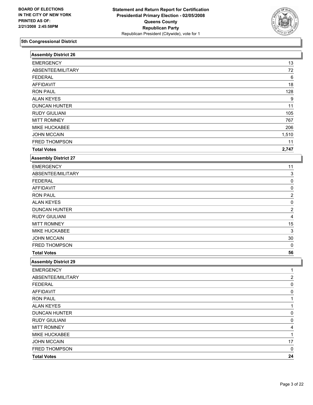

| <b>EMERGENCY</b><br>13<br>ABSENTEE/MILITARY<br>72<br><b>FEDERAL</b><br>6<br><b>AFFIDAVIT</b><br>18<br><b>RON PAUL</b><br>128<br><b>ALAN KEYES</b><br>9<br><b>DUNCAN HUNTER</b><br>11<br><b>RUDY GIULIANI</b><br>105<br><b>MITT ROMNEY</b><br>767<br>MIKE HUCKABEE<br>206<br><b>JOHN MCCAIN</b><br>1,510<br>FRED THOMPSON<br>11<br><b>Total Votes</b><br>2,747<br><b>Assembly District 27</b><br><b>EMERGENCY</b><br>11<br>ABSENTEE/MILITARY<br>3<br><b>FEDERAL</b><br>0<br><b>AFFIDAVIT</b><br>0<br><b>RON PAUL</b><br>2<br><b>ALAN KEYES</b><br>0<br><b>DUNCAN HUNTER</b><br>$\overline{c}$<br><b>RUDY GIULIANI</b><br>4<br><b>MITT ROMNEY</b><br>15<br>MIKE HUCKABEE<br>3<br><b>JOHN MCCAIN</b><br>$30\,$<br>FRED THOMPSON<br>$\mathbf 0$<br><b>Total Votes</b><br>56<br><b>Assembly District 29</b><br><b>EMERGENCY</b><br>Ί<br>ABSENTEE/MILITARY<br>2<br><b>FEDERAL</b><br>0<br>AFFIDAVIT<br>0<br><b>RON PAUL</b><br><b>ALAN KEYES</b><br><b>DUNCAN HUNTER</b><br>0<br><b>RUDY GIULIANI</b><br>0<br><b>MITT ROMNEY</b><br>4<br>MIKE HUCKABEE<br>1<br><b>JOHN MCCAIN</b><br>17<br>FRED THOMPSON<br>0<br>24<br><b>Total Votes</b> | <b>Assembly District 26</b> |  |
|-------------------------------------------------------------------------------------------------------------------------------------------------------------------------------------------------------------------------------------------------------------------------------------------------------------------------------------------------------------------------------------------------------------------------------------------------------------------------------------------------------------------------------------------------------------------------------------------------------------------------------------------------------------------------------------------------------------------------------------------------------------------------------------------------------------------------------------------------------------------------------------------------------------------------------------------------------------------------------------------------------------------------------------------------------------------------------------------------------------------------------------|-----------------------------|--|
|                                                                                                                                                                                                                                                                                                                                                                                                                                                                                                                                                                                                                                                                                                                                                                                                                                                                                                                                                                                                                                                                                                                                     |                             |  |
|                                                                                                                                                                                                                                                                                                                                                                                                                                                                                                                                                                                                                                                                                                                                                                                                                                                                                                                                                                                                                                                                                                                                     |                             |  |
|                                                                                                                                                                                                                                                                                                                                                                                                                                                                                                                                                                                                                                                                                                                                                                                                                                                                                                                                                                                                                                                                                                                                     |                             |  |
|                                                                                                                                                                                                                                                                                                                                                                                                                                                                                                                                                                                                                                                                                                                                                                                                                                                                                                                                                                                                                                                                                                                                     |                             |  |
|                                                                                                                                                                                                                                                                                                                                                                                                                                                                                                                                                                                                                                                                                                                                                                                                                                                                                                                                                                                                                                                                                                                                     |                             |  |
|                                                                                                                                                                                                                                                                                                                                                                                                                                                                                                                                                                                                                                                                                                                                                                                                                                                                                                                                                                                                                                                                                                                                     |                             |  |
|                                                                                                                                                                                                                                                                                                                                                                                                                                                                                                                                                                                                                                                                                                                                                                                                                                                                                                                                                                                                                                                                                                                                     |                             |  |
|                                                                                                                                                                                                                                                                                                                                                                                                                                                                                                                                                                                                                                                                                                                                                                                                                                                                                                                                                                                                                                                                                                                                     |                             |  |
|                                                                                                                                                                                                                                                                                                                                                                                                                                                                                                                                                                                                                                                                                                                                                                                                                                                                                                                                                                                                                                                                                                                                     |                             |  |
|                                                                                                                                                                                                                                                                                                                                                                                                                                                                                                                                                                                                                                                                                                                                                                                                                                                                                                                                                                                                                                                                                                                                     |                             |  |
|                                                                                                                                                                                                                                                                                                                                                                                                                                                                                                                                                                                                                                                                                                                                                                                                                                                                                                                                                                                                                                                                                                                                     |                             |  |
|                                                                                                                                                                                                                                                                                                                                                                                                                                                                                                                                                                                                                                                                                                                                                                                                                                                                                                                                                                                                                                                                                                                                     |                             |  |
|                                                                                                                                                                                                                                                                                                                                                                                                                                                                                                                                                                                                                                                                                                                                                                                                                                                                                                                                                                                                                                                                                                                                     |                             |  |
|                                                                                                                                                                                                                                                                                                                                                                                                                                                                                                                                                                                                                                                                                                                                                                                                                                                                                                                                                                                                                                                                                                                                     |                             |  |
|                                                                                                                                                                                                                                                                                                                                                                                                                                                                                                                                                                                                                                                                                                                                                                                                                                                                                                                                                                                                                                                                                                                                     |                             |  |
|                                                                                                                                                                                                                                                                                                                                                                                                                                                                                                                                                                                                                                                                                                                                                                                                                                                                                                                                                                                                                                                                                                                                     |                             |  |
|                                                                                                                                                                                                                                                                                                                                                                                                                                                                                                                                                                                                                                                                                                                                                                                                                                                                                                                                                                                                                                                                                                                                     |                             |  |
|                                                                                                                                                                                                                                                                                                                                                                                                                                                                                                                                                                                                                                                                                                                                                                                                                                                                                                                                                                                                                                                                                                                                     |                             |  |
|                                                                                                                                                                                                                                                                                                                                                                                                                                                                                                                                                                                                                                                                                                                                                                                                                                                                                                                                                                                                                                                                                                                                     |                             |  |
|                                                                                                                                                                                                                                                                                                                                                                                                                                                                                                                                                                                                                                                                                                                                                                                                                                                                                                                                                                                                                                                                                                                                     |                             |  |
|                                                                                                                                                                                                                                                                                                                                                                                                                                                                                                                                                                                                                                                                                                                                                                                                                                                                                                                                                                                                                                                                                                                                     |                             |  |
|                                                                                                                                                                                                                                                                                                                                                                                                                                                                                                                                                                                                                                                                                                                                                                                                                                                                                                                                                                                                                                                                                                                                     |                             |  |
|                                                                                                                                                                                                                                                                                                                                                                                                                                                                                                                                                                                                                                                                                                                                                                                                                                                                                                                                                                                                                                                                                                                                     |                             |  |
|                                                                                                                                                                                                                                                                                                                                                                                                                                                                                                                                                                                                                                                                                                                                                                                                                                                                                                                                                                                                                                                                                                                                     |                             |  |
|                                                                                                                                                                                                                                                                                                                                                                                                                                                                                                                                                                                                                                                                                                                                                                                                                                                                                                                                                                                                                                                                                                                                     |                             |  |
|                                                                                                                                                                                                                                                                                                                                                                                                                                                                                                                                                                                                                                                                                                                                                                                                                                                                                                                                                                                                                                                                                                                                     |                             |  |
|                                                                                                                                                                                                                                                                                                                                                                                                                                                                                                                                                                                                                                                                                                                                                                                                                                                                                                                                                                                                                                                                                                                                     |                             |  |
|                                                                                                                                                                                                                                                                                                                                                                                                                                                                                                                                                                                                                                                                                                                                                                                                                                                                                                                                                                                                                                                                                                                                     |                             |  |
|                                                                                                                                                                                                                                                                                                                                                                                                                                                                                                                                                                                                                                                                                                                                                                                                                                                                                                                                                                                                                                                                                                                                     |                             |  |
|                                                                                                                                                                                                                                                                                                                                                                                                                                                                                                                                                                                                                                                                                                                                                                                                                                                                                                                                                                                                                                                                                                                                     |                             |  |
|                                                                                                                                                                                                                                                                                                                                                                                                                                                                                                                                                                                                                                                                                                                                                                                                                                                                                                                                                                                                                                                                                                                                     |                             |  |
|                                                                                                                                                                                                                                                                                                                                                                                                                                                                                                                                                                                                                                                                                                                                                                                                                                                                                                                                                                                                                                                                                                                                     |                             |  |
|                                                                                                                                                                                                                                                                                                                                                                                                                                                                                                                                                                                                                                                                                                                                                                                                                                                                                                                                                                                                                                                                                                                                     |                             |  |
|                                                                                                                                                                                                                                                                                                                                                                                                                                                                                                                                                                                                                                                                                                                                                                                                                                                                                                                                                                                                                                                                                                                                     |                             |  |
|                                                                                                                                                                                                                                                                                                                                                                                                                                                                                                                                                                                                                                                                                                                                                                                                                                                                                                                                                                                                                                                                                                                                     |                             |  |
|                                                                                                                                                                                                                                                                                                                                                                                                                                                                                                                                                                                                                                                                                                                                                                                                                                                                                                                                                                                                                                                                                                                                     |                             |  |
|                                                                                                                                                                                                                                                                                                                                                                                                                                                                                                                                                                                                                                                                                                                                                                                                                                                                                                                                                                                                                                                                                                                                     |                             |  |
|                                                                                                                                                                                                                                                                                                                                                                                                                                                                                                                                                                                                                                                                                                                                                                                                                                                                                                                                                                                                                                                                                                                                     |                             |  |
|                                                                                                                                                                                                                                                                                                                                                                                                                                                                                                                                                                                                                                                                                                                                                                                                                                                                                                                                                                                                                                                                                                                                     |                             |  |
|                                                                                                                                                                                                                                                                                                                                                                                                                                                                                                                                                                                                                                                                                                                                                                                                                                                                                                                                                                                                                                                                                                                                     |                             |  |
|                                                                                                                                                                                                                                                                                                                                                                                                                                                                                                                                                                                                                                                                                                                                                                                                                                                                                                                                                                                                                                                                                                                                     |                             |  |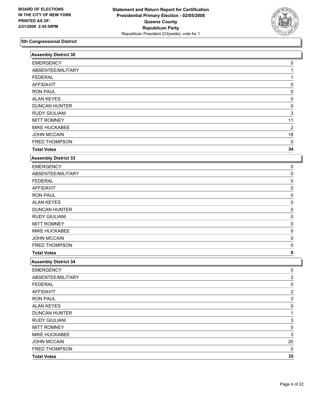

| <b>Assembly District 30</b> |                |  |
|-----------------------------|----------------|--|
| <b>EMERGENCY</b>            | 0              |  |
| ABSENTEE/MILITARY           |                |  |
| <b>FEDERAL</b>              |                |  |
| <b>AFFIDAVIT</b>            | 0              |  |
| <b>RON PAUL</b>             | 0              |  |
| <b>ALAN KEYES</b>           | 0              |  |
| <b>DUNCAN HUNTER</b>        | 0              |  |
| <b>RUDY GIULIANI</b>        | 3              |  |
| <b>MITT ROMNEY</b>          | 11             |  |
| MIKE HUCKABEE               | 2              |  |
| <b>JOHN MCCAIN</b>          | 18             |  |
| FRED THOMPSON               | $\mathbf 0$    |  |
| <b>Total Votes</b>          | 34             |  |
| <b>Assembly District 33</b> |                |  |
| <b>EMERGENCY</b>            | 0              |  |
| ABSENTEE/MILITARY           | 0              |  |
| <b>FEDERAL</b>              | 0              |  |
| <b>AFFIDAVIT</b>            | 0              |  |
| <b>RON PAUL</b>             | 0              |  |
| <b>ALAN KEYES</b>           | 0              |  |
| <b>DUNCAN HUNTER</b>        | 0              |  |
| <b>RUDY GIULIANI</b>        | 0              |  |
| <b>MITT ROMNEY</b>          | 0              |  |
| MIKE HUCKABEE               | 0              |  |
| <b>JOHN MCCAIN</b>          | 0              |  |
| FRED THOMPSON               | 0              |  |
| <b>Total Votes</b>          | 0              |  |
| <b>Assembly District 34</b> |                |  |
| <b>EMERGENCY</b>            | 0              |  |
| ABSENTEE/MILITARY           | $\overline{2}$ |  |
| <b>FEDERAL</b>              | $\overline{0}$ |  |
| <b>AFFIDAVIT</b>            | 2              |  |
| <b>RON PAUL</b>             | 3              |  |
| <b>ALAN KEYES</b>           | 0              |  |
| <b>DUNCAN HUNTER</b>        | 1              |  |
| <b>RUDY GIULIANI</b>        | 3              |  |
| <b>MITT ROMNEY</b>          | 5              |  |
| MIKE HUCKABEE               | 3              |  |
| <b>JOHN MCCAIN</b>          | $20\,$         |  |
| FRED THOMPSON               | 0              |  |
| <b>Total Votes</b>          | 35             |  |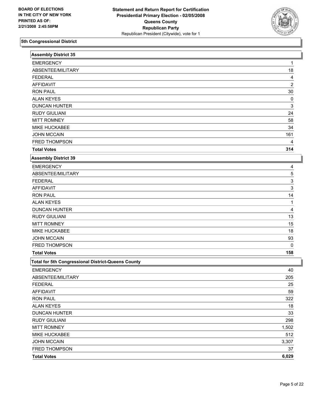

| <b>Assembly District 35</b>                        |                |
|----------------------------------------------------|----------------|
| <b>EMERGENCY</b>                                   | 1              |
| ABSENTEE/MILITARY                                  | 18             |
| <b>FEDERAL</b>                                     | 4              |
| <b>AFFIDAVIT</b>                                   | $\overline{c}$ |
| <b>RON PAUL</b>                                    | 30             |
| <b>ALAN KEYES</b>                                  | 0              |
| <b>DUNCAN HUNTER</b>                               | 3              |
| <b>RUDY GIULIANI</b>                               | 24             |
| <b>MITT ROMNEY</b>                                 | 58             |
| MIKE HUCKABEE                                      | 34             |
| <b>JOHN MCCAIN</b>                                 | 161            |
| FRED THOMPSON                                      | 4              |
| <b>Total Votes</b>                                 | 314            |
| <b>Assembly District 39</b>                        |                |
| <b>EMERGENCY</b>                                   | 4              |
| ABSENTEE/MILITARY                                  | 5              |
| <b>FEDERAL</b>                                     | 3              |
| <b>AFFIDAVIT</b>                                   | 3              |
| <b>RON PAUL</b>                                    | 14             |
| <b>ALAN KEYES</b>                                  | 1              |
| <b>DUNCAN HUNTER</b>                               | 4              |
| <b>RUDY GIULIANI</b>                               | 13             |
| <b>MITT ROMNEY</b>                                 | 15             |
| MIKE HUCKABEE                                      | 18             |
| <b>JOHN MCCAIN</b>                                 | 93             |
| FRED THOMPSON                                      | 0              |
| <b>Total Votes</b>                                 | 158            |
| Total for 5th Congressional District-Queens County |                |
| <b>EMERGENCY</b>                                   | 40             |
| ABSENTEE/MILITARY                                  | 205            |
| <b>FEDERAL</b>                                     | 25             |
| <b>AFFIDAVIT</b>                                   | 59             |
| <b>RON PAUL</b>                                    | 322            |
| <b>ALAN KEYES</b>                                  | 18             |
| <b>DUNCAN HUNTER</b>                               | 33             |
| <b>RUDY GIULIANI</b>                               | 298            |
| <b>MITT ROMNEY</b>                                 | 1,502          |
| MIKE HUCKABEE                                      | 512            |
| <b>JOHN MCCAIN</b>                                 | 3,307          |
| FRED THOMPSON                                      | 37             |
| <b>Total Votes</b>                                 | 6,029          |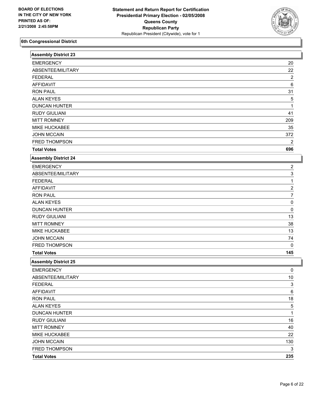

| <b>Assembly District 23</b> |                         |
|-----------------------------|-------------------------|
| <b>EMERGENCY</b>            | 20                      |
| ABSENTEE/MILITARY           | 22                      |
| <b>FEDERAL</b>              | $\boldsymbol{2}$        |
| <b>AFFIDAVIT</b>            | 6                       |
| <b>RON PAUL</b>             | 31                      |
| <b>ALAN KEYES</b>           | 5                       |
| <b>DUNCAN HUNTER</b>        |                         |
| <b>RUDY GIULIANI</b>        | 41                      |
| <b>MITT ROMNEY</b>          | 209                     |
| MIKE HUCKABEE               | 35                      |
| <b>JOHN MCCAIN</b>          | 372                     |
| FRED THOMPSON               | 2                       |
| <b>Total Votes</b>          | 696                     |
| <b>Assembly District 24</b> |                         |
| <b>EMERGENCY</b>            | 2                       |
| ABSENTEE/MILITARY           | 3                       |
| <b>FEDERAL</b>              | 1                       |
| <b>AFFIDAVIT</b>            | $\overline{\mathbf{c}}$ |
| <b>RON PAUL</b>             | 7                       |
| <b>ALAN KEYES</b>           | 0                       |
| <b>DUNCAN HUNTER</b>        | 0                       |
| <b>RUDY GIULIANI</b>        | 13                      |
| <b>MITT ROMNEY</b>          | 38                      |
| MIKE HUCKABEE               | 13                      |
| <b>JOHN MCCAIN</b>          | 74                      |
| FRED THOMPSON               | 0                       |
| <b>Total Votes</b>          | 145                     |
| <b>Assembly District 25</b> |                         |
| <b>EMERGENCY</b>            | 0                       |
| ABSENTEE/MILITARY           | 10                      |
| <b>FEDERAL</b>              | $\overline{3}$          |
| AFFIDAVIT                   | 6                       |
| <b>RON PAUL</b>             | $18$                    |
| <b>ALAN KEYES</b>           | 5                       |
| <b>DUNCAN HUNTER</b>        | 1                       |
| <b>RUDY GIULIANI</b>        | 16                      |
| <b>MITT ROMNEY</b>          | 40                      |
| MIKE HUCKABEE               | 22                      |
| <b>JOHN MCCAIN</b>          | 130                     |
| FRED THOMPSON               | 3                       |
| <b>Total Votes</b>          | 235                     |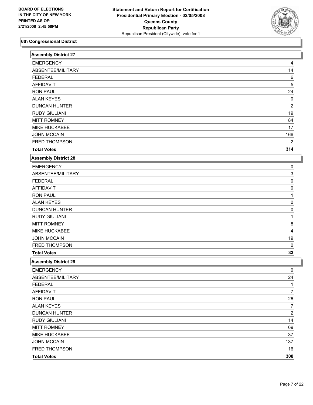

| <b>Assembly District 27</b> |                |
|-----------------------------|----------------|
| <b>EMERGENCY</b>            | 4              |
| ABSENTEE/MILITARY           | 14             |
| <b>FEDERAL</b>              | 6              |
| <b>AFFIDAVIT</b>            | 5              |
| <b>RON PAUL</b>             | 24             |
| <b>ALAN KEYES</b>           | 0              |
| <b>DUNCAN HUNTER</b>        | 2              |
| <b>RUDY GIULIANI</b>        | 19             |
| <b>MITT ROMNEY</b>          | 84             |
| MIKE HUCKABEE               | 17             |
| <b>JOHN MCCAIN</b>          | 166            |
| FRED THOMPSON               | 2              |
| <b>Total Votes</b>          | 314            |
| <b>Assembly District 28</b> |                |
| <b>EMERGENCY</b>            | 0              |
| ABSENTEE/MILITARY           | 3              |
| <b>FEDERAL</b>              | 0              |
| <b>AFFIDAVIT</b>            | 0              |
| <b>RON PAUL</b>             |                |
| <b>ALAN KEYES</b>           | 0              |
| <b>DUNCAN HUNTER</b>        | 0              |
| <b>RUDY GIULIANI</b>        |                |
| <b>MITT ROMNEY</b>          | 8              |
| MIKE HUCKABEE               | 4              |
| <b>JOHN MCCAIN</b>          | 19             |
| FRED THOMPSON               | $\mathbf 0$    |
| <b>Total Votes</b>          | 33             |
| <b>Assembly District 29</b> |                |
| <b>EMERGENCY</b>            | 0              |
| ABSENTEE/MILITARY           | 24             |
| <b>FEDERAL</b>              | 1              |
| <b>AFFIDAVIT</b>            | 7              |
| <b>RON PAUL</b>             | 26             |
| <b>ALAN KEYES</b>           | 7              |
| <b>DUNCAN HUNTER</b>        | $\overline{2}$ |
| <b>RUDY GIULIANI</b>        | 14             |
| <b>MITT ROMNEY</b>          | 69             |
| MIKE HUCKABEE               | 37             |
| JOHN MCCAIN                 | 137            |
| FRED THOMPSON               | 16             |
| <b>Total Votes</b>          | 308            |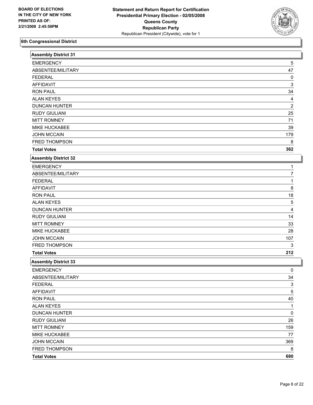

| <b>Assembly District 31</b> |                  |
|-----------------------------|------------------|
| <b>EMERGENCY</b>            | 5                |
| ABSENTEE/MILITARY           | 47               |
| <b>FEDERAL</b>              | 0                |
| <b>AFFIDAVIT</b>            | 3                |
| <b>RON PAUL</b>             | 34               |
| <b>ALAN KEYES</b>           | 4                |
| <b>DUNCAN HUNTER</b>        | $\boldsymbol{2}$ |
| <b>RUDY GIULIANI</b>        | 25               |
| <b>MITT ROMNEY</b>          | 71               |
| MIKE HUCKABEE               | 39               |
| <b>JOHN MCCAIN</b>          | 179              |
| FRED THOMPSON               | 8                |
| <b>Total Votes</b>          | 362              |
| <b>Assembly District 32</b> |                  |
| <b>EMERGENCY</b>            |                  |
| ABSENTEE/MILITARY           | 7                |
| <b>FEDERAL</b>              | 1                |
| <b>AFFIDAVIT</b>            | 8                |
| <b>RON PAUL</b>             | 18               |
| <b>ALAN KEYES</b>           | 5                |
| <b>DUNCAN HUNTER</b>        | 4                |
| <b>RUDY GIULIANI</b>        | 14               |
| <b>MITT ROMNEY</b>          | 33               |
| MIKE HUCKABEE               | 28               |
| <b>JOHN MCCAIN</b>          | 107              |
| FRED THOMPSON               | 3                |
| <b>Total Votes</b>          | 212              |
| <b>Assembly District 33</b> |                  |
| <b>EMERGENCY</b>            | 0                |
| ABSENTEE/MILITARY           | 34               |
| <b>FEDERAL</b>              | $\frac{3}{5}$    |
| AFFIDAVIT                   | 5                |
| <b>RON PAUL</b>             | 40               |
| <b>ALAN KEYES</b>           | 1                |
| <b>DUNCAN HUNTER</b>        | 0                |
| <b>RUDY GIULIANI</b>        | 26               |
| <b>MITT ROMNEY</b>          | 159              |
| MIKE HUCKABEE               | 77               |
| <b>JOHN MCCAIN</b>          | 369              |
| FRED THOMPSON               | 8                |
| <b>Total Votes</b>          | 680              |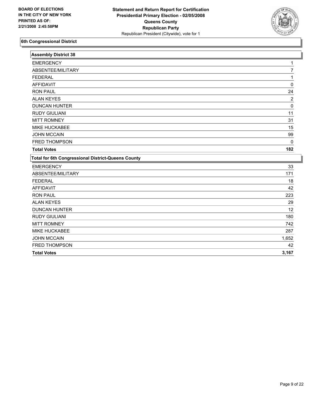

| <b>Assembly District 38</b>                               |          |
|-----------------------------------------------------------|----------|
| <b>EMERGENCY</b>                                          |          |
| ABSENTEE/MILITARY                                         | 7        |
| <b>FEDERAL</b>                                            |          |
| <b>AFFIDAVIT</b>                                          | $\Omega$ |
| <b>RON PAUL</b>                                           | 24       |
| <b>ALAN KEYES</b>                                         | 2        |
| <b>DUNCAN HUNTER</b>                                      | $\Omega$ |
| <b>RUDY GIULIANI</b>                                      | 11       |
| <b>MITT ROMNEY</b>                                        | 31       |
| <b>MIKE HUCKABEE</b>                                      | 15       |
| <b>JOHN MCCAIN</b>                                        | 99       |
| FRED THOMPSON                                             | 0        |
| <b>Total Votes</b>                                        | 182      |
| <b>Total for 6th Congressional District-Queens County</b> |          |
| <b>EMERGENCY</b>                                          | 33       |
| ABSENTEE/MILITARY                                         | 171      |
| <b>FEDERAL</b>                                            | 18       |
| <b>AFFIDAVIT</b>                                          | 42       |
| <b>RON PAUL</b>                                           | 223      |
| <b>ALAN KEYES</b>                                         | 29       |
| <b>DUNCAN HUNTER</b>                                      | 12       |
| <b>RUDY GIULIANI</b>                                      | 180      |
| <b>MITT ROMNEY</b>                                        | 742      |
| MIKE HUCKABEE                                             | 287      |
| <b>JOHN MCCAIN</b>                                        | 1,652    |
| FRED THOMPSON                                             | 42       |
| <b>Total Votes</b>                                        | 3,167    |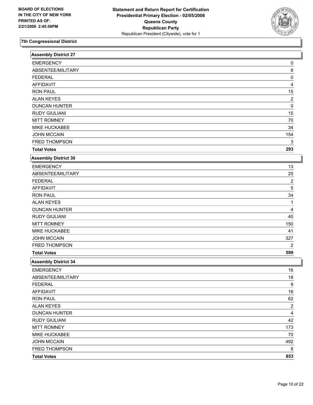

| <b>Assembly District 27</b> |                         |  |
|-----------------------------|-------------------------|--|
| <b>EMERGENCY</b>            | 0                       |  |
| ABSENTEE/MILITARY           | 8                       |  |
| <b>FEDERAL</b>              | 0                       |  |
| <b>AFFIDAVIT</b>            | 4                       |  |
| <b>RON PAUL</b>             | 15                      |  |
| <b>ALAN KEYES</b>           | $\overline{c}$          |  |
| <b>DUNCAN HUNTER</b>        | 0                       |  |
| <b>RUDY GIULIANI</b>        | 15                      |  |
| <b>MITT ROMNEY</b>          | 70                      |  |
| MIKE HUCKABEE               | 34                      |  |
| <b>JOHN MCCAIN</b>          | 154                     |  |
| FRED THOMPSON               | 3                       |  |
| <b>Total Votes</b>          | 293                     |  |
| <b>Assembly District 30</b> |                         |  |
| <b>EMERGENCY</b>            | 13                      |  |
| ABSENTEE/MILITARY           | 25                      |  |
| <b>FEDERAL</b>              | $\overline{\mathbf{c}}$ |  |
| <b>AFFIDAVIT</b>            | 5                       |  |
| <b>RON PAUL</b>             | 34                      |  |
| <b>ALAN KEYES</b>           |                         |  |
| <b>DUNCAN HUNTER</b>        | 4                       |  |
| <b>RUDY GIULIANI</b>        | 40                      |  |
| <b>MITT ROMNEY</b>          | 150                     |  |
| MIKE HUCKABEE               | 41                      |  |
| <b>JOHN MCCAIN</b>          | 327                     |  |
| FRED THOMPSON               | 2                       |  |
| <b>Total Votes</b>          | 599                     |  |
| <b>Assembly District 34</b> |                         |  |
| <b>EMERGENCY</b>            | 16                      |  |
| ABSENTEE/MILITARY           | 18                      |  |
| <b>FEDERAL</b>              | 9                       |  |
| <b>AFFIDAVIT</b>            | $16$                    |  |
| <b>RON PAUL</b>             | 62                      |  |
| <b>ALAN KEYES</b>           | $\overline{c}$          |  |
| <b>DUNCAN HUNTER</b>        | 4                       |  |
| <b>RUDY GIULIANI</b>        | 42                      |  |
| <b>MITT ROMNEY</b>          | 173                     |  |
| MIKE HUCKABEE               | 70                      |  |
| <b>JOHN MCCAIN</b>          | 492                     |  |
| FRED THOMPSON               | 8                       |  |
| <b>Total Votes</b>          | 853                     |  |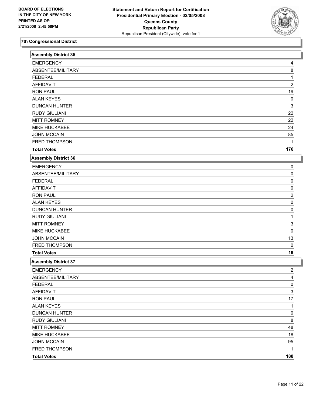

| <b>Assembly District 35</b> |                |  |
|-----------------------------|----------------|--|
| <b>EMERGENCY</b>            | 4              |  |
| ABSENTEE/MILITARY           | 8              |  |
| <b>FEDERAL</b>              | 1              |  |
| <b>AFFIDAVIT</b>            | $\overline{c}$ |  |
| <b>RON PAUL</b>             | 19             |  |
| <b>ALAN KEYES</b>           | 0              |  |
| <b>DUNCAN HUNTER</b>        | 3              |  |
| <b>RUDY GIULIANI</b>        | 22             |  |
| <b>MITT ROMNEY</b>          | 22             |  |
| MIKE HUCKABEE               | 24             |  |
| <b>JOHN MCCAIN</b>          | 85             |  |
| FRED THOMPSON               |                |  |
| <b>Total Votes</b>          | 176            |  |
| <b>Assembly District 36</b> |                |  |
| <b>EMERGENCY</b>            | 0              |  |
| ABSENTEE/MILITARY           | 0              |  |
| <b>FEDERAL</b>              | 0              |  |
| <b>AFFIDAVIT</b>            | 0              |  |
| <b>RON PAUL</b>             | 2              |  |
| <b>ALAN KEYES</b>           | 0              |  |
| <b>DUNCAN HUNTER</b>        | 0              |  |
| <b>RUDY GIULIANI</b>        |                |  |
| <b>MITT ROMNEY</b>          | 3              |  |
| MIKE HUCKABEE               | 0              |  |
| <b>JOHN MCCAIN</b>          | 13             |  |
| FRED THOMPSON               | 0              |  |
| <b>Total Votes</b>          | 19             |  |
| <b>Assembly District 37</b> |                |  |
| <b>EMERGENCY</b>            | 2              |  |
| ABSENTEE/MILITARY           | 4              |  |
| <b>FEDERAL</b>              | $\overline{0}$ |  |
| <b>AFFIDAVIT</b>            | 3              |  |
| <b>RON PAUL</b>             | 17             |  |
| <b>ALAN KEYES</b>           | 1              |  |
| <b>DUNCAN HUNTER</b>        | 0              |  |
| <b>RUDY GIULIANI</b>        | 8              |  |
| <b>MITT ROMNEY</b>          | 48             |  |
| MIKE HUCKABEE               | $18$           |  |
| <b>JOHN MCCAIN</b>          | 95             |  |
| FRED THOMPSON               | 1              |  |
| <b>Total Votes</b>          | 188            |  |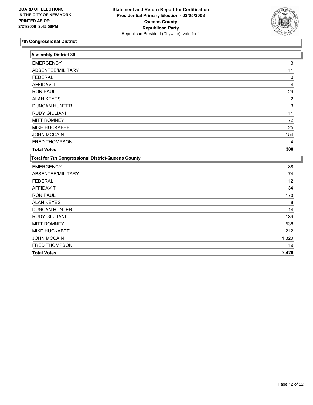

| <b>Assembly District 39</b>                               |                         |
|-----------------------------------------------------------|-------------------------|
| <b>EMERGENCY</b>                                          | 3                       |
| ABSENTEE/MILITARY                                         | 11                      |
| <b>FEDERAL</b>                                            | 0                       |
| <b>AFFIDAVIT</b>                                          | 4                       |
| <b>RON PAUL</b>                                           | 29                      |
| <b>ALAN KEYES</b>                                         | $\overline{\mathbf{c}}$ |
| <b>DUNCAN HUNTER</b>                                      | 3                       |
| <b>RUDY GIULIANI</b>                                      | 11                      |
| <b>MITT ROMNEY</b>                                        | 72                      |
| MIKE HUCKABEE                                             | 25                      |
| <b>JOHN MCCAIN</b>                                        | 154                     |
| <b>FRED THOMPSON</b>                                      | 4                       |
| <b>Total Votes</b>                                        | 300                     |
| <b>Total for 7th Congressional District-Queens County</b> |                         |
| <b>EMERGENCY</b>                                          | 38                      |
| ABSENTEE/MILITARY                                         | 74                      |
| <b>FEDERAL</b>                                            | 12                      |
| <b>AFFIDAVIT</b>                                          | 34                      |
| <b>RON PAUL</b>                                           | 178                     |
| <b>ALAN KEYES</b>                                         | 8                       |
| <b>DUNCAN HUNTER</b>                                      | 14                      |
| <b>RUDY GIULIANI</b>                                      | 139                     |
| <b>MITT ROMNEY</b>                                        | 538                     |
| <b>MIKE HUCKABEE</b>                                      | 212                     |
| <b>JOHN MCCAIN</b>                                        | 1,320                   |
| FRED THOMPSON                                             | 19                      |
| <b>Total Votes</b>                                        | 2,428                   |
|                                                           |                         |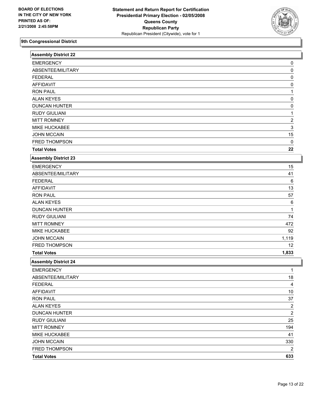

| <b>Assembly District 22</b> |                         |
|-----------------------------|-------------------------|
| <b>EMERGENCY</b>            | 0                       |
| ABSENTEE/MILITARY           | 0                       |
| <b>FEDERAL</b>              | 0                       |
| <b>AFFIDAVIT</b>            | 0                       |
| <b>RON PAUL</b>             | 1                       |
| <b>ALAN KEYES</b>           | 0                       |
| <b>DUNCAN HUNTER</b>        | 0                       |
| <b>RUDY GIULIANI</b>        | 1                       |
| <b>MITT ROMNEY</b>          | $\overline{\mathbf{c}}$ |
| MIKE HUCKABEE               | 3                       |
| <b>JOHN MCCAIN</b>          | 15                      |
| FRED THOMPSON               | 0                       |
| <b>Total Votes</b>          | 22                      |
| <b>Assembly District 23</b> |                         |
| <b>EMERGENCY</b>            | 15                      |
| ABSENTEE/MILITARY           | 41                      |
| <b>FEDERAL</b>              | 6                       |
| <b>AFFIDAVIT</b>            | 13                      |
| <b>RON PAUL</b>             | 57                      |
| <b>ALAN KEYES</b>           | 6                       |
| <b>DUNCAN HUNTER</b>        | 1                       |
| <b>RUDY GIULIANI</b>        | 74                      |
| <b>MITT ROMNEY</b>          | 472                     |
| MIKE HUCKABEE               | 92                      |
| <b>JOHN MCCAIN</b>          | 1,119                   |
| FRED THOMPSON               | 12                      |
| <b>Total Votes</b>          | 1,833                   |
| <b>Assembly District 24</b> |                         |
| <b>EMERGENCY</b>            | 1                       |
| ABSENTEE/MILITARY           | 18                      |
| <b>FEDERAL</b>              | 4                       |
| <b>AFFIDAVIT</b>            | 10                      |
| <b>RON PAUL</b>             | 37                      |
| <b>ALAN KEYES</b>           | $\overline{a}$          |
| <b>DUNCAN HUNTER</b>        | $\overline{2}$          |
| <b>RUDY GIULIANI</b>        | 25                      |
| <b>MITT ROMNEY</b>          | 194                     |
| MIKE HUCKABEE               | 41                      |
| <b>JOHN MCCAIN</b>          | 330                     |
| FRED THOMPSON               | 2                       |
| <b>Total Votes</b>          | 633                     |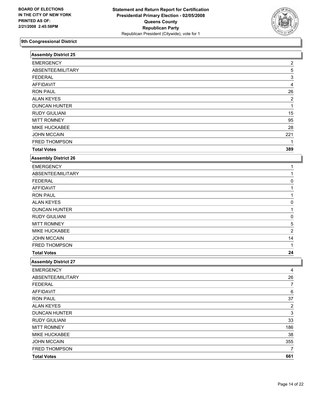

| Assembly District 25        |                |
|-----------------------------|----------------|
| <b>EMERGENCY</b>            | 2              |
| ABSENTEE/MILITARY           | 5              |
| <b>FEDERAL</b>              | 3              |
| <b>AFFIDAVIT</b>            | 4              |
| <b>RON PAUL</b>             | 26             |
| <b>ALAN KEYES</b>           | $\overline{c}$ |
| <b>DUNCAN HUNTER</b>        |                |
| <b>RUDY GIULIANI</b>        | 15             |
| <b>MITT ROMNEY</b>          | 95             |
| MIKE HUCKABEE               | 28             |
| <b>JOHN MCCAIN</b>          | 221            |
| FRED THOMPSON               |                |
| <b>Total Votes</b>          | 389            |
| <b>Assembly District 26</b> |                |
| <b>EMERGENCY</b>            |                |
| ABSENTEE/MILITARY           |                |
| <b>FEDERAL</b>              | 0              |
| <b>AFFIDAVIT</b>            |                |
| <b>RON PAUL</b>             |                |
| <b>ALAN KEYES</b>           | 0              |
| <b>DUNCAN HUNTER</b>        | 1              |
| <b>RUDY GIULIANI</b>        | 0              |
| <b>MITT ROMNEY</b>          | 5              |
| MIKE HUCKABEE               | $\overline{2}$ |
| <b>JOHN MCCAIN</b>          | 14             |
| FRED THOMPSON               | 1              |
| <b>Total Votes</b>          | 24             |
| <b>Assembly District 27</b> |                |
| <b>EMERGENCY</b>            | 4              |
| ABSENTEE/MILITARY           | 26             |
| <b>FEDERAL</b>              | 7              |
| <b>AFFIDAVIT</b>            | 6              |
| <b>RON PAUL</b>             | 37             |
| <b>ALAN KEYES</b>           | $\overline{2}$ |
| <b>DUNCAN HUNTER</b>        | $\mathbf{3}$   |
| <b>RUDY GIULIANI</b>        | 33             |
| <b>MITT ROMNEY</b>          | 186            |
| MIKE HUCKABEE               | 38             |
| <b>JOHN MCCAIN</b>          | 355            |
| FRED THOMPSON               | 7              |
| <b>Total Votes</b>          | 661            |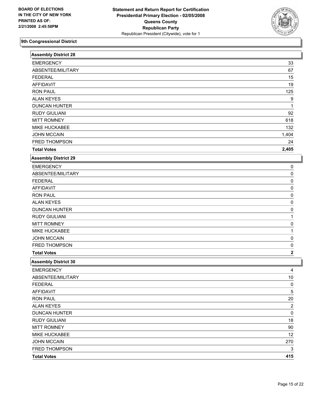

| <b>EMERGENCY</b><br>33<br>ABSENTEE/MILITARY<br>67<br><b>FEDERAL</b><br>15<br><b>AFFIDAVIT</b><br>19<br><b>RON PAUL</b><br>125<br><b>ALAN KEYES</b><br>9<br><b>DUNCAN HUNTER</b><br><b>RUDY GIULIANI</b><br>92<br><b>MITT ROMNEY</b><br>618<br>MIKE HUCKABEE<br>132<br><b>JOHN MCCAIN</b><br>1,404<br>FRED THOMPSON<br>24<br>2,405<br><b>Total Votes</b><br><b>Assembly District 29</b><br><b>EMERGENCY</b><br>0<br>ABSENTEE/MILITARY<br>0<br><b>FEDERAL</b><br>0<br><b>AFFIDAVIT</b><br>0<br><b>RON PAUL</b><br>0<br><b>ALAN KEYES</b><br>0<br><b>DUNCAN HUNTER</b><br>0<br><b>RUDY GIULIANI</b><br><b>MITT ROMNEY</b><br>0<br>MIKE HUCKABEE<br><b>JOHN MCCAIN</b><br>0<br>FRED THOMPSON<br>0<br><b>Total Votes</b><br>$\mathbf 2$<br><b>Assembly District 30</b><br><b>EMERGENCY</b><br>4<br>ABSENTEE/MILITARY<br>10<br><b>FEDERAL</b><br>0<br>5<br><b>AFFIDAVIT</b><br>$20\,$<br><b>RON PAUL</b><br>$\overline{c}$<br><b>ALAN KEYES</b><br>0<br><b>DUNCAN HUNTER</b><br><b>RUDY GIULIANI</b><br>18<br><b>MITT ROMNEY</b><br>90<br>MIKE HUCKABEE<br>12<br><b>JOHN MCCAIN</b><br>270<br>FRED THOMPSON<br>3<br>415<br><b>Total Votes</b> | <b>Assembly District 28</b> |  |
|-----------------------------------------------------------------------------------------------------------------------------------------------------------------------------------------------------------------------------------------------------------------------------------------------------------------------------------------------------------------------------------------------------------------------------------------------------------------------------------------------------------------------------------------------------------------------------------------------------------------------------------------------------------------------------------------------------------------------------------------------------------------------------------------------------------------------------------------------------------------------------------------------------------------------------------------------------------------------------------------------------------------------------------------------------------------------------------------------------------------------------------------|-----------------------------|--|
|                                                                                                                                                                                                                                                                                                                                                                                                                                                                                                                                                                                                                                                                                                                                                                                                                                                                                                                                                                                                                                                                                                                                         |                             |  |
|                                                                                                                                                                                                                                                                                                                                                                                                                                                                                                                                                                                                                                                                                                                                                                                                                                                                                                                                                                                                                                                                                                                                         |                             |  |
|                                                                                                                                                                                                                                                                                                                                                                                                                                                                                                                                                                                                                                                                                                                                                                                                                                                                                                                                                                                                                                                                                                                                         |                             |  |
|                                                                                                                                                                                                                                                                                                                                                                                                                                                                                                                                                                                                                                                                                                                                                                                                                                                                                                                                                                                                                                                                                                                                         |                             |  |
|                                                                                                                                                                                                                                                                                                                                                                                                                                                                                                                                                                                                                                                                                                                                                                                                                                                                                                                                                                                                                                                                                                                                         |                             |  |
|                                                                                                                                                                                                                                                                                                                                                                                                                                                                                                                                                                                                                                                                                                                                                                                                                                                                                                                                                                                                                                                                                                                                         |                             |  |
|                                                                                                                                                                                                                                                                                                                                                                                                                                                                                                                                                                                                                                                                                                                                                                                                                                                                                                                                                                                                                                                                                                                                         |                             |  |
|                                                                                                                                                                                                                                                                                                                                                                                                                                                                                                                                                                                                                                                                                                                                                                                                                                                                                                                                                                                                                                                                                                                                         |                             |  |
|                                                                                                                                                                                                                                                                                                                                                                                                                                                                                                                                                                                                                                                                                                                                                                                                                                                                                                                                                                                                                                                                                                                                         |                             |  |
|                                                                                                                                                                                                                                                                                                                                                                                                                                                                                                                                                                                                                                                                                                                                                                                                                                                                                                                                                                                                                                                                                                                                         |                             |  |
|                                                                                                                                                                                                                                                                                                                                                                                                                                                                                                                                                                                                                                                                                                                                                                                                                                                                                                                                                                                                                                                                                                                                         |                             |  |
|                                                                                                                                                                                                                                                                                                                                                                                                                                                                                                                                                                                                                                                                                                                                                                                                                                                                                                                                                                                                                                                                                                                                         |                             |  |
|                                                                                                                                                                                                                                                                                                                                                                                                                                                                                                                                                                                                                                                                                                                                                                                                                                                                                                                                                                                                                                                                                                                                         |                             |  |
|                                                                                                                                                                                                                                                                                                                                                                                                                                                                                                                                                                                                                                                                                                                                                                                                                                                                                                                                                                                                                                                                                                                                         |                             |  |
|                                                                                                                                                                                                                                                                                                                                                                                                                                                                                                                                                                                                                                                                                                                                                                                                                                                                                                                                                                                                                                                                                                                                         |                             |  |
|                                                                                                                                                                                                                                                                                                                                                                                                                                                                                                                                                                                                                                                                                                                                                                                                                                                                                                                                                                                                                                                                                                                                         |                             |  |
|                                                                                                                                                                                                                                                                                                                                                                                                                                                                                                                                                                                                                                                                                                                                                                                                                                                                                                                                                                                                                                                                                                                                         |                             |  |
|                                                                                                                                                                                                                                                                                                                                                                                                                                                                                                                                                                                                                                                                                                                                                                                                                                                                                                                                                                                                                                                                                                                                         |                             |  |
|                                                                                                                                                                                                                                                                                                                                                                                                                                                                                                                                                                                                                                                                                                                                                                                                                                                                                                                                                                                                                                                                                                                                         |                             |  |
|                                                                                                                                                                                                                                                                                                                                                                                                                                                                                                                                                                                                                                                                                                                                                                                                                                                                                                                                                                                                                                                                                                                                         |                             |  |
|                                                                                                                                                                                                                                                                                                                                                                                                                                                                                                                                                                                                                                                                                                                                                                                                                                                                                                                                                                                                                                                                                                                                         |                             |  |
|                                                                                                                                                                                                                                                                                                                                                                                                                                                                                                                                                                                                                                                                                                                                                                                                                                                                                                                                                                                                                                                                                                                                         |                             |  |
|                                                                                                                                                                                                                                                                                                                                                                                                                                                                                                                                                                                                                                                                                                                                                                                                                                                                                                                                                                                                                                                                                                                                         |                             |  |
|                                                                                                                                                                                                                                                                                                                                                                                                                                                                                                                                                                                                                                                                                                                                                                                                                                                                                                                                                                                                                                                                                                                                         |                             |  |
|                                                                                                                                                                                                                                                                                                                                                                                                                                                                                                                                                                                                                                                                                                                                                                                                                                                                                                                                                                                                                                                                                                                                         |                             |  |
|                                                                                                                                                                                                                                                                                                                                                                                                                                                                                                                                                                                                                                                                                                                                                                                                                                                                                                                                                                                                                                                                                                                                         |                             |  |
|                                                                                                                                                                                                                                                                                                                                                                                                                                                                                                                                                                                                                                                                                                                                                                                                                                                                                                                                                                                                                                                                                                                                         |                             |  |
|                                                                                                                                                                                                                                                                                                                                                                                                                                                                                                                                                                                                                                                                                                                                                                                                                                                                                                                                                                                                                                                                                                                                         |                             |  |
|                                                                                                                                                                                                                                                                                                                                                                                                                                                                                                                                                                                                                                                                                                                                                                                                                                                                                                                                                                                                                                                                                                                                         |                             |  |
|                                                                                                                                                                                                                                                                                                                                                                                                                                                                                                                                                                                                                                                                                                                                                                                                                                                                                                                                                                                                                                                                                                                                         |                             |  |
|                                                                                                                                                                                                                                                                                                                                                                                                                                                                                                                                                                                                                                                                                                                                                                                                                                                                                                                                                                                                                                                                                                                                         |                             |  |
|                                                                                                                                                                                                                                                                                                                                                                                                                                                                                                                                                                                                                                                                                                                                                                                                                                                                                                                                                                                                                                                                                                                                         |                             |  |
|                                                                                                                                                                                                                                                                                                                                                                                                                                                                                                                                                                                                                                                                                                                                                                                                                                                                                                                                                                                                                                                                                                                                         |                             |  |
|                                                                                                                                                                                                                                                                                                                                                                                                                                                                                                                                                                                                                                                                                                                                                                                                                                                                                                                                                                                                                                                                                                                                         |                             |  |
|                                                                                                                                                                                                                                                                                                                                                                                                                                                                                                                                                                                                                                                                                                                                                                                                                                                                                                                                                                                                                                                                                                                                         |                             |  |
|                                                                                                                                                                                                                                                                                                                                                                                                                                                                                                                                                                                                                                                                                                                                                                                                                                                                                                                                                                                                                                                                                                                                         |                             |  |
|                                                                                                                                                                                                                                                                                                                                                                                                                                                                                                                                                                                                                                                                                                                                                                                                                                                                                                                                                                                                                                                                                                                                         |                             |  |
|                                                                                                                                                                                                                                                                                                                                                                                                                                                                                                                                                                                                                                                                                                                                                                                                                                                                                                                                                                                                                                                                                                                                         |                             |  |
|                                                                                                                                                                                                                                                                                                                                                                                                                                                                                                                                                                                                                                                                                                                                                                                                                                                                                                                                                                                                                                                                                                                                         |                             |  |
|                                                                                                                                                                                                                                                                                                                                                                                                                                                                                                                                                                                                                                                                                                                                                                                                                                                                                                                                                                                                                                                                                                                                         |                             |  |
|                                                                                                                                                                                                                                                                                                                                                                                                                                                                                                                                                                                                                                                                                                                                                                                                                                                                                                                                                                                                                                                                                                                                         |                             |  |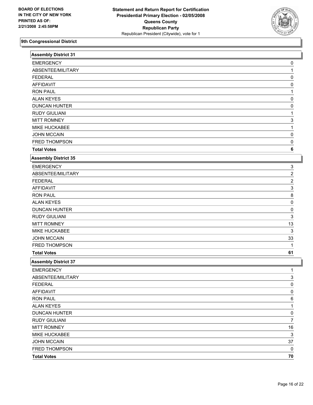

| <b>Assembly District 31</b> |                         |
|-----------------------------|-------------------------|
| <b>EMERGENCY</b>            | 0                       |
| ABSENTEE/MILITARY           | 1                       |
| <b>FEDERAL</b>              | 0                       |
| <b>AFFIDAVIT</b>            | 0                       |
| <b>RON PAUL</b>             |                         |
| <b>ALAN KEYES</b>           | 0                       |
| <b>DUNCAN HUNTER</b>        | 0                       |
| <b>RUDY GIULIANI</b>        |                         |
| <b>MITT ROMNEY</b>          | 3                       |
| MIKE HUCKABEE               |                         |
| <b>JOHN MCCAIN</b>          | 0                       |
| FRED THOMPSON               | 0                       |
| <b>Total Votes</b>          | 6                       |
| <b>Assembly District 35</b> |                         |
| <b>EMERGENCY</b>            | 3                       |
| ABSENTEE/MILITARY           | 2                       |
| <b>FEDERAL</b>              | $\overline{\mathbf{c}}$ |
| <b>AFFIDAVIT</b>            | 3                       |
| <b>RON PAUL</b>             | 8                       |
| <b>ALAN KEYES</b>           | 0                       |
| <b>DUNCAN HUNTER</b>        | 0                       |
| <b>RUDY GIULIANI</b>        | 3                       |
| <b>MITT ROMNEY</b>          | 13                      |
| MIKE HUCKABEE               | 3                       |
| <b>JOHN MCCAIN</b>          | 33                      |
| FRED THOMPSON               | 1                       |
| <b>Total Votes</b>          | 61                      |
| <b>Assembly District 37</b> |                         |
| <b>EMERGENCY</b>            | T                       |
| ABSENTEE/MILITARY           | 3                       |
| <b>FEDERAL</b>              | 0                       |
| <b>AFFIDAVIT</b>            | 0                       |
| <b>RON PAUL</b>             | 6                       |
| <b>ALAN KEYES</b>           | 1                       |
| <b>DUNCAN HUNTER</b>        | 0                       |
| <b>RUDY GIULIANI</b>        | $\overline{7}$          |
| <b>MITT ROMNEY</b>          | $16$                    |
| MIKE HUCKABEE               | 3                       |
| <b>JOHN MCCAIN</b>          | 37                      |
| FRED THOMPSON               | 0                       |
| <b>Total Votes</b>          | 70                      |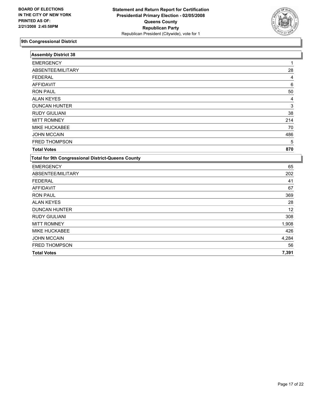

| <b>Assembly District 38</b>                               |       |
|-----------------------------------------------------------|-------|
| <b>EMERGENCY</b>                                          |       |
| ABSENTEE/MILITARY                                         | 28    |
| <b>FEDERAL</b>                                            | 4     |
| <b>AFFIDAVIT</b>                                          | 6     |
| <b>RON PAUL</b>                                           | 50    |
| <b>ALAN KEYES</b>                                         | 4     |
| <b>DUNCAN HUNTER</b>                                      | 3     |
| <b>RUDY GIULIANI</b>                                      | 38    |
| <b>MITT ROMNEY</b>                                        | 214   |
| <b>MIKE HUCKABEE</b>                                      | 70    |
| <b>JOHN MCCAIN</b>                                        | 486   |
| FRED THOMPSON                                             | 5     |
| <b>Total Votes</b>                                        | 870   |
| <b>Total for 9th Congressional District-Queens County</b> |       |
| <b>EMERGENCY</b>                                          | 65    |
| ABSENTEE/MILITARY                                         | 202   |
| <b>FEDERAL</b>                                            | 41    |
| <b>AFFIDAVIT</b>                                          | 67    |
| <b>RON PAUL</b>                                           | 369   |
| <b>ALAN KEYES</b>                                         | 28    |
| <b>DUNCAN HUNTER</b>                                      | 12    |
| <b>RUDY GIULIANI</b>                                      | 308   |
| <b>MITT ROMNEY</b>                                        | 1,908 |
| MIKE HUCKABEE                                             | 426   |
| <b>JOHN MCCAIN</b>                                        | 4,284 |
| FRED THOMPSON                                             | 56    |
| <b>Total Votes</b>                                        | 7,391 |
|                                                           |       |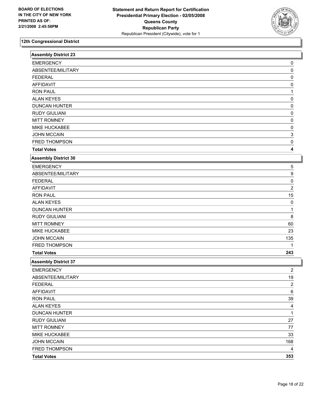

| <b>Assembly District 23</b> |                |
|-----------------------------|----------------|
| <b>EMERGENCY</b>            | 0              |
| ABSENTEE/MILITARY           | 0              |
| <b>FEDERAL</b>              | 0              |
| <b>AFFIDAVIT</b>            | 0              |
| <b>RON PAUL</b>             |                |
| <b>ALAN KEYES</b>           | 0              |
| <b>DUNCAN HUNTER</b>        | 0              |
| <b>RUDY GIULIANI</b>        | 0              |
| <b>MITT ROMNEY</b>          | 0              |
| MIKE HUCKABEE               | 0              |
| <b>JOHN MCCAIN</b>          | 3              |
| FRED THOMPSON               | 0              |
| <b>Total Votes</b>          | 4              |
| <b>Assembly District 30</b> |                |
| <b>EMERGENCY</b>            | 5              |
| ABSENTEE/MILITARY           | 9              |
| <b>FEDERAL</b>              | 0              |
| <b>AFFIDAVIT</b>            | $\overline{2}$ |
| <b>RON PAUL</b>             | 15             |
| <b>ALAN KEYES</b>           | 0              |
| <b>DUNCAN HUNTER</b>        |                |
| <b>RUDY GIULIANI</b>        | 8              |
| <b>MITT ROMNEY</b>          | 60             |
| MIKE HUCKABEE               | 23             |
| <b>JOHN MCCAIN</b>          | 135            |
| FRED THOMPSON               |                |
| <b>Total Votes</b>          | 243            |
| <b>Assembly District 37</b> |                |
| <b>EMERGENCY</b>            | 2              |
| ABSENTEE/MILITARY           | 19             |
| <b>FEDERAL</b>              | $\overline{2}$ |
| <b>AFFIDAVIT</b>            | 6              |
| <b>RON PAUL</b>             | $39\,$         |
| <b>ALAN KEYES</b>           | 4              |
| <b>DUNCAN HUNTER</b>        | 1              |
| <b>RUDY GIULIANI</b>        | 27             |
| <b>MITT ROMNEY</b>          | 77             |
| MIKE HUCKABEE               | 33             |
| <b>JOHN MCCAIN</b>          | 168            |
| FRED THOMPSON               | 4              |
| <b>Total Votes</b>          | 353            |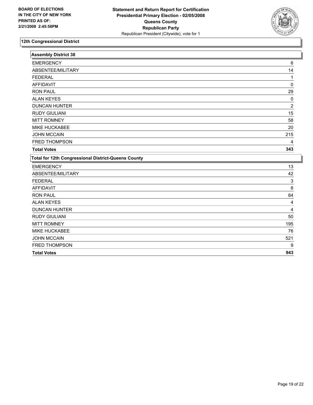

| <b>Assembly District 38</b>                                |                |
|------------------------------------------------------------|----------------|
| <b>EMERGENCY</b>                                           | 6              |
| ABSENTEE/MILITARY                                          | 14             |
| <b>FEDERAL</b>                                             |                |
| <b>AFFIDAVIT</b>                                           | 0              |
| <b>RON PAUL</b>                                            | 29             |
| <b>ALAN KEYES</b>                                          | 0              |
| <b>DUNCAN HUNTER</b>                                       | $\overline{c}$ |
| <b>RUDY GIULIANI</b>                                       | 15             |
| <b>MITT ROMNEY</b>                                         | 58             |
| MIKE HUCKABEE                                              | 20             |
| <b>JOHN MCCAIN</b>                                         | 215            |
| <b>FRED THOMPSON</b>                                       | 4              |
| <b>Total Votes</b>                                         | 343            |
| <b>Total for 12th Congressional District-Queens County</b> |                |
| <b>EMERGENCY</b>                                           | 13             |
| ABSENTEE/MILITARY                                          | 42             |
| <b>FEDERAL</b>                                             | 3              |
| <b>AFFIDAVIT</b>                                           | 8              |
| <b>RON PAUL</b>                                            | 84             |
| <b>ALAN KEYES</b>                                          | 4              |
| <b>DUNCAN HUNTER</b>                                       | 4              |
| <b>RUDY GIULIANI</b>                                       | 50             |
| <b>MITT ROMNEY</b>                                         | 195            |
| <b>MIKE HUCKABEE</b>                                       | 76             |
| <b>JOHN MCCAIN</b>                                         | 521            |
| FRED THOMPSON                                              | 9              |
| <b>Total Votes</b>                                         | 943            |
|                                                            |                |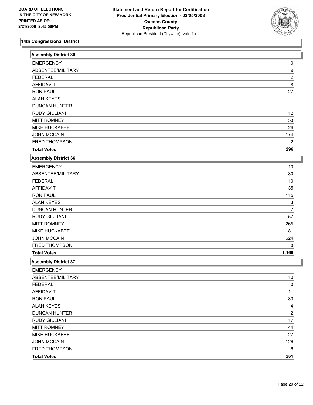

| <b>Assembly District 30</b> |                         |  |
|-----------------------------|-------------------------|--|
| <b>EMERGENCY</b>            | 0                       |  |
| ABSENTEE/MILITARY           | 9                       |  |
| <b>FEDERAL</b>              | $\overline{\mathbf{c}}$ |  |
| <b>AFFIDAVIT</b>            | 8                       |  |
| <b>RON PAUL</b>             | 27                      |  |
| <b>ALAN KEYES</b>           | 1                       |  |
| <b>DUNCAN HUNTER</b>        |                         |  |
| <b>RUDY GIULIANI</b>        | 12                      |  |
| <b>MITT ROMNEY</b>          | 53                      |  |
| MIKE HUCKABEE               | 26                      |  |
| <b>JOHN MCCAIN</b>          | 174                     |  |
| <b>FRED THOMPSON</b>        | 2                       |  |
| <b>Total Votes</b>          | 296                     |  |
| <b>Assembly District 36</b> |                         |  |
| <b>EMERGENCY</b>            | 13                      |  |
| ABSENTEE/MILITARY           | $30\,$                  |  |
| <b>FEDERAL</b>              | 10                      |  |
| <b>AFFIDAVIT</b>            | 35                      |  |
| <b>RON PAUL</b>             | 115                     |  |
| <b>ALAN KEYES</b>           | 3                       |  |
| <b>DUNCAN HUNTER</b>        | 7                       |  |
| <b>RUDY GIULIANI</b>        | 57                      |  |
| <b>MITT ROMNEY</b>          | 265                     |  |
| MIKE HUCKABEE               | 81                      |  |
| <b>JOHN MCCAIN</b>          | 624                     |  |
| FRED THOMPSON               | 8                       |  |
| <b>Total Votes</b>          | 1,160                   |  |
| <b>Assembly District 37</b> |                         |  |
| <b>EMERGENCY</b>            | 1                       |  |
| ABSENTEE/MILITARY           | 10                      |  |
| <b>FEDERAL</b>              | $\pmb{0}$               |  |
| <b>AFFIDAVIT</b>            | 11                      |  |
| <b>RON PAUL</b>             | 33                      |  |
| <b>ALAN KEYES</b>           | 4                       |  |
| <b>DUNCAN HUNTER</b>        | $\overline{\mathbf{c}}$ |  |
| <b>RUDY GIULIANI</b>        | 17                      |  |
| <b>MITT ROMNEY</b>          | 44                      |  |
| MIKE HUCKABEE               | 27                      |  |
| <b>JOHN MCCAIN</b>          | 126                     |  |
| FRED THOMPSON               | 8                       |  |
| <b>Total Votes</b>          | 261                     |  |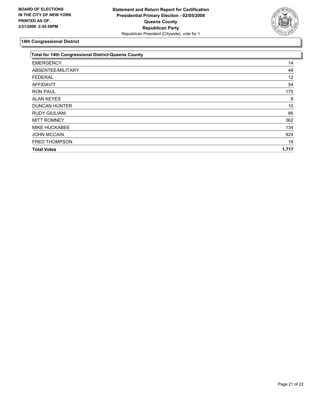

| 14    |
|-------|
| 49    |
| 12    |
| 54    |
| 175   |
| 8     |
| 10    |
| 86    |
| 362   |
| 134   |
| 924   |
| 18    |
| 1,717 |
|       |